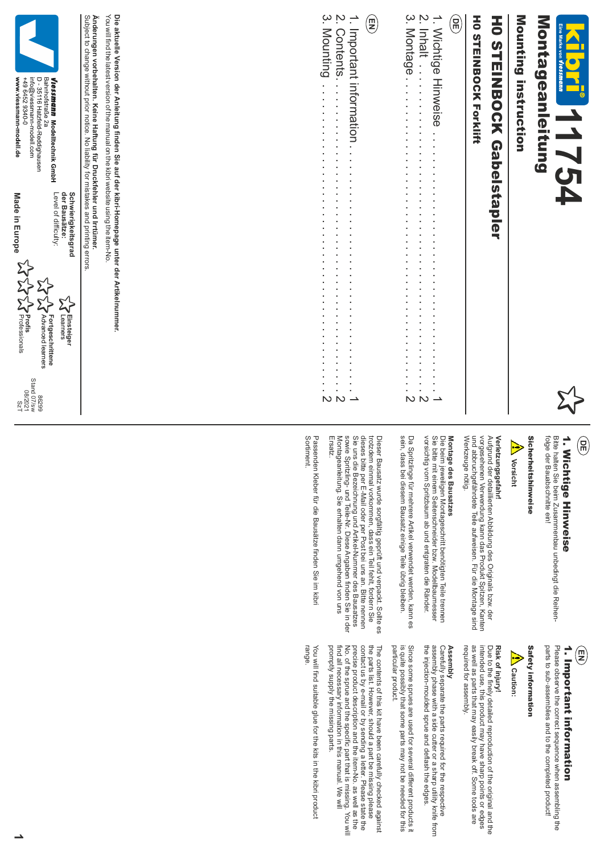

# Montageanleitung Montageanleitung

Mounting instruction Mounting instruction

# **HO STEINBOCK Gabelstapler** H0 STEINBOCK Gabelstapler

## **HOSTEINBOCK Forklift** H0 STEINBOCK Forklift

## **DE**

|  | !<br>- |  |
|--|--------|--|
|  |        |  |
|  |        |  |
|  |        |  |
|  |        |  |
|  |        |  |
|  |        |  |
|  |        |  |
|  |        |  |
|  |        |  |
|  |        |  |
|  |        |  |
|  |        |  |
|  |        |  |
|  |        |  |
|  |        |  |
|  |        |  |
|  |        |  |
|  |        |  |
|  |        |  |
|  |        |  |
|  |        |  |
|  |        |  |
|  |        |  |
|  |        |  |
|  |        |  |
|  |        |  |
|  |        |  |
|  |        |  |
|  |        |  |
|  |        |  |
|  |        |  |
|  |        |  |
|  |        |  |
|  |        |  |
|  |        |  |
|  |        |  |
|  |        |  |
|  |        |  |
|  |        |  |
|  |        |  |
|  |        |  |
|  |        |  |

#### E



### 1. Wichtige Hinweise **DE** 1. Wichtige Hinweise

## **Vorsicht**

# **Verletzungsgefahr!**

Werkzeuge nötig. und abbruchgefährdete Teile aufweisen. Für die Montage sind vorgesehenen Verwendung kann das Produkt Spitzen, Kanten Aufgrund der detaillierten Abbildung des Originals bzw. der

# **Montage des Bausatzes**

sein, dass bei diesem Bausatz einige Teile übrig bleiben. Da Spritzlinge für mehrere Artikel verwendet werden, kann es

Bitte halten Sie beim Zusammenbau unbedingt die Reihen-<br>Bitte halten Sie beim Zusammenbau unbedingt die Reihen-<br>folge der Bauabschnitte ein!<br>Werterzungsgefahr!<br>Werterungsgefahr!<br>Werterungsgefahr!<br>Werterungsgefahr!<br>Werterun

Sortiment Passenden Kleber für die Bausätze finden Sie im kibr Sortiment. Passenden Kleber für die Bausätze finden Sie im kibri

## 1. Important information **EN**

parts to sub-assemblies and to the completed product! Please observe the correct sequence when assembling the parts to sub Please observe the correct sequence when assembling the **1 . Important information**<br>Please observe the correct sequence when assemblin<br>parts to sub-assemblies and to the completed product!

### Safety information Safety information

### saution: **Caution:**

### Risk of injury! **Risk of injury!**

required for assembly. as well as parts that may easily break off. Some tools are intended use, this product may have sharp points or edges Due to the finely detailed reproduction of the original and the required for assembly. intended use, this product may have sharp points or edges Due to the finely detailed reproduction of the original and the as parts that may easily break off. Some tools are

## **Assembly**

Assembly<br>Carefully separate the parts required for the respective<br>assembly phase with a side cutter or a sharp utility knife from<br>the injection-moulded sprue and deflash the edges. the injection-moulded sprue and deflash the edges. assembly phase with a side cutter or a sharp utility knife from Carefully separate the parts required for the respective

particular product. is quite possibly that some parts may not be needed for this Since some sprues are used for several different products it particular product. is quite possibly that some parts may not be needed for this Since some sprues are used for several different products it

precise product description and the item-No. as well as the the parts list. However, should a part be missing please<br>contact us by e-mail or by sending a letter. Please state the promptly supply the missing parts. find all necessary information in this manual. We will No. of the sprue and the specific part that is missing. You will promptly supply the missing parts. find all necessary information in this manual. We will No. of the sprue and the specific part that is missing. You will precise product description and the item-No. as well as the contact us by e-mail or by sending a letter. Please state the the parts list. However, should a part be missing please The contents of this kit have been carefully checked agains The contents of this kit have been carefully checked against

range. You will find suitable glue for the kits in the kibri product You will find suitable glue for the kits in the kibri product

Die aktuelle Version der Anleitung finden Sie auf der kibri-Homepage unter der Artikelnummer. Subject to change without prior notice. No liability for mistakes and printing errors You will find the latest version of the manual on the kibri website using the item-No Subject to change without prior notice. No liability for mistakes and printing errors. Anderungen vorbehalten. Keine Haftung für Druckfehler und Irrtümer. **Änderungen vorbehalten. Keine Haftung für Druckfehler und Irrtümer.**You will find the latest version of the manual on the kibri website using the item-No **Die aktuelle Version der Anleitung finden Sie auf der kibri-Homepage unter der Artikelnummer.** der Bausätze: **der Bausätze: Schwierigkeitsgrad Schwierigkeitsgrad LA** Einsteiger **Einsteiger** earners



17S<br>|20Z/80<br>|20Z/80<br>|86Z98